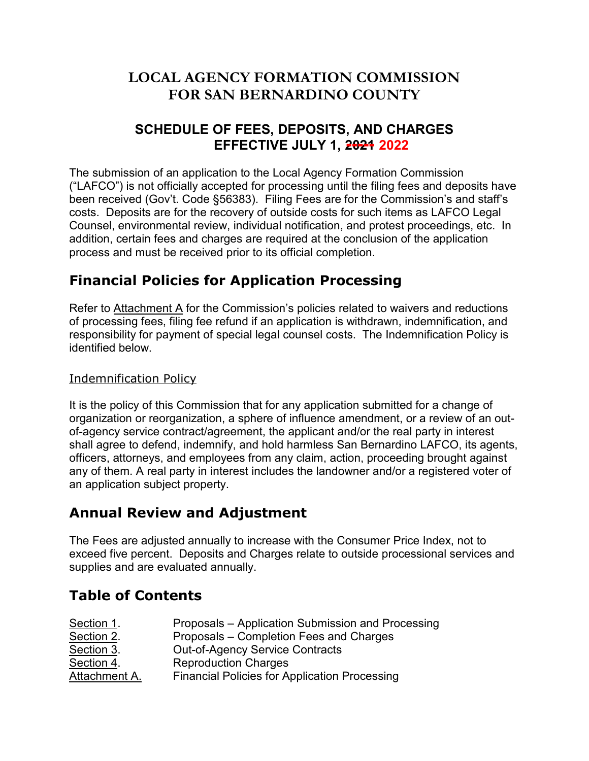# **LOCAL AGENCY FORMATION COMMISSION FOR SAN BERNARDINO COUNTY**

# **SCHEDULE OF FEES, DEPOSITS, AND CHARGES EFFECTIVE JULY 1, 2024 2022**

**7KHVEPLV/VLRRIDDSSOLFDWLRWRWKHRFDOJHRUPDWLRRPPLVVLRD TEVRWRIILFEDOODFFHSWHGIRUSURFHVVEJIWEOWKHILOEJIHHVDGGHSRVEWVKD**  $\Box$ )2 EHHUHEHLYHGtRYWRGHDLOUDHHVDUHIRUWKHRPPLVVLRVDGVWDIIVO FRVWVIHSRVL**DVHRUWKHUHFRYHRRWLGFRVWVURIFKLWHPVDVI2HJDO** RMHOHMLURPHWDOUHMLHLGLMLGDORWLILEDWLRDGSURWHVWSURFWFIGLUM **DGGLWLREHUWDLDGRKDUJHVDUHUHTLUHGDWWKHEREOVLRRIWKHDSSOLFDWLR**O **SURFHVVDGPVWEHUHFHLYHGSULRUWRLWVRIILFLDOFRPSOHWLRT** 

# : ]bUbVW`Dc`]VWg`Zcf`5dd`]VWh]cb`DfcWgg]b[`

FYZYffrc5hHJWN a Yblacf h Y 7 ca alousted dc WWYGUHYX hc k Uli Yfg UbX fYXi Whicbg cZdfcWgg]b[ 2021]gb[ 2YY fYZ bX ]ZUb Udd ]WUh]cb ]g k ]h XfUk bž ]bXYa b]Z]WUh]cbž fYgdcbgJV]`JmiZcf dUma YbhcZgdYVJU "Y[U 'VtiHogY=brtyggb]ZJVUhjcb Dc`JVtijg **IXYbhZIYX VY ck "** 

### Indemnification Policy

It it e olicy of t i ommi ion t at fo any a lication mitted fo cofic an e o ani ation o eo ani ation a e e of infl ence amendment o of a a det of a ency e ice cont act a eement t e a licant and o taetyen ahtee t all a ee to defend indemnify and old a mle e randino it a ent atto ney and em loyee fonclaim action oceedin o ta ain t office any of t em eal a ty in intenel tde t e lando ne and o a te ed ote of an a lication ecto e ty

# 5bbi U F Yi TYk UbX 5X1 qra Ybh

H\Y: YYgUfY UX1 gHYX Ubbi U`mhc ]bWYUgY k ]H\ H\Y 7 cbgi a Yf Df]W =bXYI žbchhc YI WYX Zjj Y dYfW&W dcg]hg UbX 7\Uff WylhY he ci hg]XY dfcWgg]cbU gYfj ]Wg UbX gi dd`]Yg`UbX`UfY`Yj U`i UhYX`Ubbi U``m'

## HUV'Y cZ'7 cbhYbhg

| GYVMcb '%" | DfcdcgUğ5dd`]Wh]cb Gi Va ]gg]cb UbX DfcWgg]b[ |
|------------|-----------------------------------------------|
| GYVMcb &"  | DfcdcgUig7ca d`Yhicb: YYg UbX 7\Uf[Yg         |
| GYVMcb" "  | Ci Ht Z5 [ Yb WhiGYfj ] We bir U Whg          |
| GYVMcb ("  | FYdfcXi VMcb 7\Uf[Yg                          |
| 5HUWa Ybh5 | : ]bUbVJU`Dc`]VJVg Zcf 5dd`]VUh]cb DfcWgg]b[  |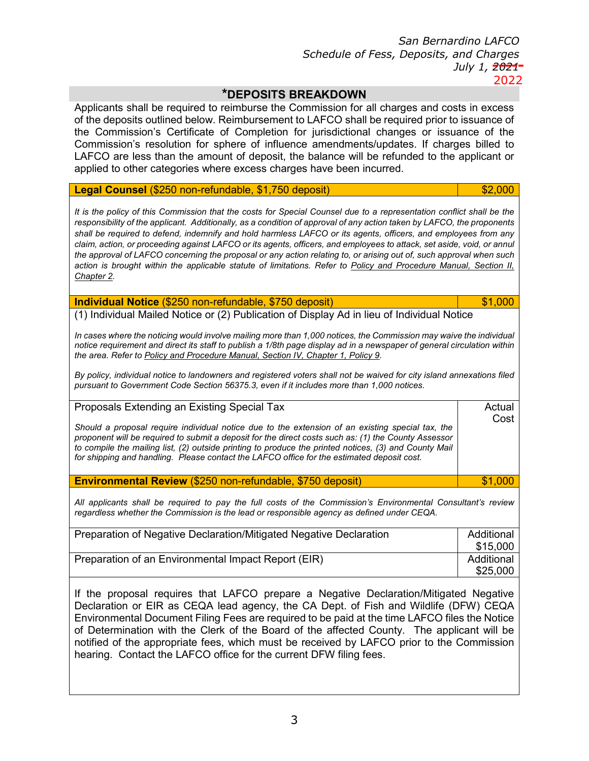ance of

licant o

\$25,000

| *DEPOSITS BREAKDOWN                                                                                                                                                                                                                                                                                                                                                                                                                                                                                                                                                                                                                                                                                                                                  |                                                          |
|------------------------------------------------------------------------------------------------------------------------------------------------------------------------------------------------------------------------------------------------------------------------------------------------------------------------------------------------------------------------------------------------------------------------------------------------------------------------------------------------------------------------------------------------------------------------------------------------------------------------------------------------------------------------------------------------------------------------------------------------------|----------------------------------------------------------|
| i ed to eim<br>licant<br>all<br>ommi ion fo all c a<br>e e<br>ete<br>of t e de o it o tlined elo<br>eim<br>ement to<br>all e e<br>e tificate of<br>om letion fo<br>i dictional c an è<br>ion<br>te<br>ommi<br>e e of infl ence amendment<br>Ifdate<br>e ol tion fo<br>ommi<br>ion<br>ill e ef nded to t e a<br>t ante amont of de o it te<br>a e le<br>alance<br>lied to ot e cate o ie<br>a e een inc<br>ed<br>e e e ce<br>c a<br>e e<br>a                                                                                                                                                                                                                                                                                                          | e and co t<br>i ed<br>io to i<br>ance of t<br>illed<br>e |
| <b>Legal Counsel</b><br>25<br>nonef nda le<br>75de o it                                                                                                                                                                                                                                                                                                                                                                                                                                                                                                                                                                                                                                                                                              | $\overline{2}$                                           |
| It is the policy of this Commission that the costs for Special Counsel due to a representation conflict shall be the<br>responsibility of the applicant. Additionally, as a condition of approval of any action taken by LAFCO, the proponents<br>shall be required to defend, indemnify and hold harmless LAFCO or its agents, officers, and employees from any<br>claim, action, or proceeding against LAFCO or its agents, officers, and employees to attack, set aside, void, or annul<br>the approval of LAFCO concerning the proposal or any action relating to, or arising out of, such approval when such<br>action is brought within the applicable statute of limitations. Refer to Policy and Procedure Manual, Section II,<br>Chapter 2. |                                                          |
| Individual Notice (\$250 non refundable, \$750 deposit)                                                                                                                                                                                                                                                                                                                                                                                                                                                                                                                                                                                                                                                                                              | \$1,000                                                  |
| (1) Individual Mailed Notice or (2) Publication of Display Ad in lieu of Individual Notice<br>In cases where the noticing would involve mailing more than 1,000 notices, the Commission may waive the individual<br>notice requirement and direct its staff to publish a 1/8th page display ad in a newspaper of general circulation within<br>the area. Refer to Policy and Procedure Manual, Section IV, Chapter 1, Policy 9.<br>By policy, individual notice to landowners and registered voters shall not be waived for city island annexations filed<br>pursuant to Government Code Section 56375.3, even if it includes more than 1,000 notices.                                                                                               |                                                          |
| Proposals Extending an Existing Special Tax<br>Should a proposal require individual notice due to the extension of an existing special tax, the<br>proponent will be required to submit a deposit for the direct costs such as: (1) the County Assessor<br>to compile the mailing list, (2) outside printing to produce the printed notices, (3) and County Mail<br>for shipping and handling. Please contact the LAFCO office for the estimated deposit cost.                                                                                                                                                                                                                                                                                       | Actual<br>Cost                                           |
| Environmental Review (\$250 non refundable, \$750 deposit)                                                                                                                                                                                                                                                                                                                                                                                                                                                                                                                                                                                                                                                                                           | \$1,000                                                  |
| All applicants shall be required to pay the full costs of the Commission's Environmental Consultant's review<br>regardless whether the Commission is the lead or responsible agency as defined under CEQA.                                                                                                                                                                                                                                                                                                                                                                                                                                                                                                                                           |                                                          |
| Preparation of Negative Declaration/Mitigated Negative Declaration                                                                                                                                                                                                                                                                                                                                                                                                                                                                                                                                                                                                                                                                                   | <b>Additional</b><br>\$15,000                            |
| Preparation of an Environmental Impact Report (EIR)                                                                                                                                                                                                                                                                                                                                                                                                                                                                                                                                                                                                                                                                                                  | <b>Additional</b>                                        |

If the proposal requires that LAFCO prepare a Negative Declaration/Mitigated Negative Declaration or EIR as CEQA lead agency, the CA Dept. of Fish and ildlife (DF) CEQA Environmental Document Filing Fees are required to be paid at the time LAFCO files the Notice of Determination with the Clerk of the Board of the affected County. The applicant will be notified of the appropriate fees, which must be received by LAFCO prior to the Commission hearing. Contact the LAFCO office for the current DF filing fees.

3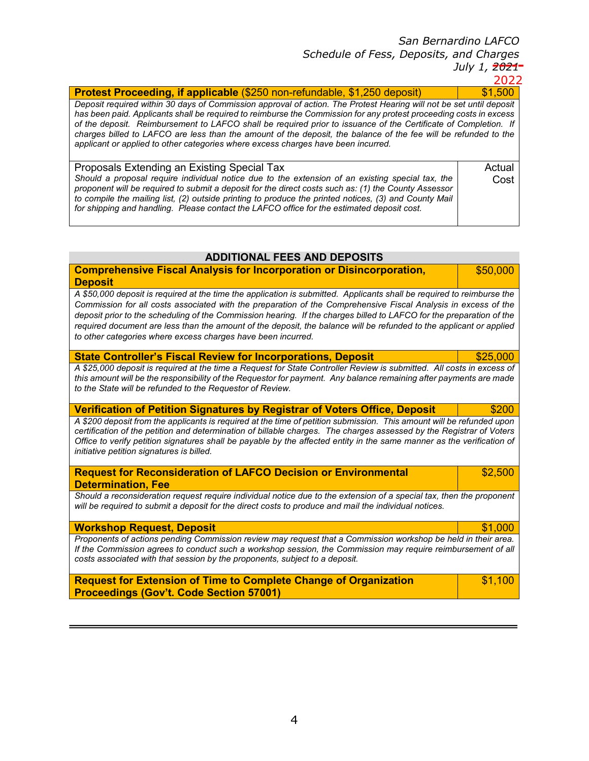| . . |  | . . |
|-----|--|-----|
|     |  |     |

| <b>Protest Proceeding, if applicable</b> 25 nonef nda le 25de o it                                                                                                                                                                                                                                                                                                                                                                                                                                                                                                   |                |  |  |  |  |  |  |
|----------------------------------------------------------------------------------------------------------------------------------------------------------------------------------------------------------------------------------------------------------------------------------------------------------------------------------------------------------------------------------------------------------------------------------------------------------------------------------------------------------------------------------------------------------------------|----------------|--|--|--|--|--|--|
| Deposit required within 30 days of Commission approval of action. The Protest Hearing will not be set until deposit<br>has been paid. Applicants shall be required to reimburse the Commission for any protest proceeding costs in excess<br>of the deposit. Reimbursement to LAFCO shall be required prior to issuance of the Certificate of Completion. If<br>charges billed to LAFCO are less than the amount of the deposit, the balance of the fee will be refunded to the<br>applicant or applied to other categories where excess charges have been incurred. |                |  |  |  |  |  |  |
| Proposals Extending an Existing Special Tax<br>Should a proposal require individual notice due to the extension of an existing special tax, the<br>proponent will be required to submit a deposit for the direct costs such as: (1) the County Assessor<br>to compile the mailing list, (2) outside printing to produce the printed notices, (3) and County Mail<br>for shipping and handling. Please contact the LAFCO office for the estimated deposit cost.                                                                                                       | Actual<br>Cost |  |  |  |  |  |  |

#### **ADDITIONAL FEES AND DEPOSITS**

**Comprehensive Fiscal Analysis for Incorporation or Disincorporation,** \$50,000 **Deposit** 

A \$50,000 deposit is required at the time the application is submitted. Applicants shall be required to reimburse the Commission for all costs associated with the preparation of the Comprehensive Fiscal Analysis in excess of the deposit prior to the scheduling of the Commission hearing. If the charges billed to LAFCO for the preparation of the required document are less than the amount of the deposit, the balance will be refunded to the applicant or applied to other categories where excess charges have been incurred.

| <b>State Controller's Fiscal Review for Incorporations, Deposit</b>                                                                                                             | \$25,000 |
|---------------------------------------------------------------------------------------------------------------------------------------------------------------------------------|----------|
| A \$25,000 deposit is required at the time a Request for State Controller Review is submitted. All costs in excess of                                                           |          |
| this amount will be the responsibility of the Requestor for payment. Any balance remaining after payments are made<br>to the State will be refunded to the Requestor of Review. |          |

| <u>Vernication of Petition Signatures by Registrar of Voters Unice, Deposit</u>                                        | ີ໓∠UU |
|------------------------------------------------------------------------------------------------------------------------|-------|
| A \$200 deposit from the applicants is required at the time of petition submission. This amount will be refunded upon  |       |
| certification of the petition and determination of billable charges. The charges assessed by the Registrar of Voters   |       |
| Office to verify petition signatures shall be payable by the affected entity in the same manner as the verification of |       |
| initiative petition signatures is billed.                                                                              |       |

| <b>Request for Reconsideration of LAFCO Decision or Environmental</b>                                                                                                                                                         |         |  |  |  |
|-------------------------------------------------------------------------------------------------------------------------------------------------------------------------------------------------------------------------------|---------|--|--|--|
| <b>Determination, Fee</b>                                                                                                                                                                                                     |         |  |  |  |
| Should a reconsideration request require individual notice due to the extension of a special tax, then the proponent<br>will be required to submit a deposit for the direct costs to produce and mail the individual notices. |         |  |  |  |
| <b>Workshop Request, Deposit</b>                                                                                                                                                                                              | \$1.000 |  |  |  |

Proponents of actions pending Commission review may request that a Commission workshop be held in their area. If the Commission agrees to conduct such a workshop session, the Commission may require reimbursement of all costs associated with that session by the proponents, subject to a deposit.

| <b>Request for Extension of Time to Complete Change of Organization</b> | \$1,100 |
|-------------------------------------------------------------------------|---------|
| <b>Proceedings (Gov't. Code Section 57001)</b>                          |         |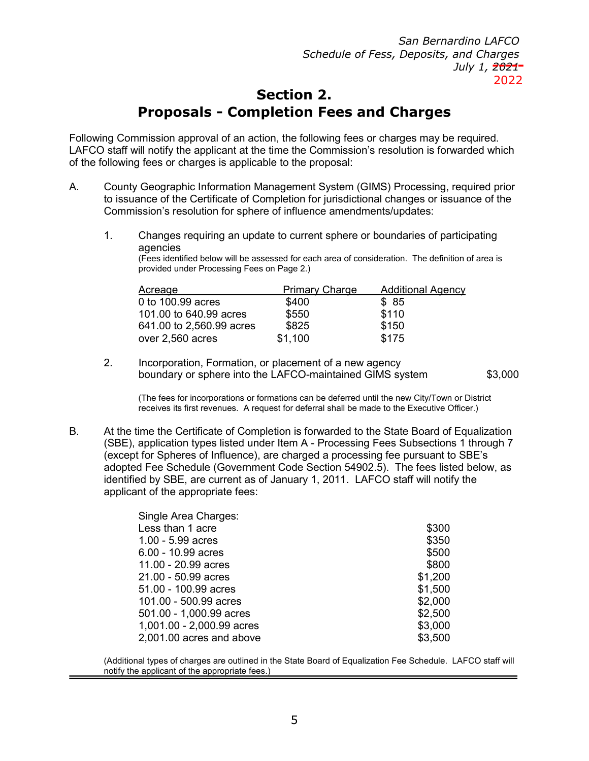# **Section 2.**

## **Proposals - Completion Fees and Charges**

Follo ing Commission approval of an action the follo charges over experienced. AFCO staff ill notify the applicant at the time the Commission s resolution is for ard of the follo ing **fees** barges is applical e to the proposal

- A. County eographic nformation anagement System S Procepsing re uired to issuance of the Certificate of Completion for urisdictional changes or issuance **Commission s resolution for sphere of antennements updates** 
	- **Changes r** uiring an update to current sphere or oundaries of participating **agencies**

ill e assessed for each area of consideration. he definition of area provided under pcessing Feea Page 2.

| Acreage |                                |              | <b>Primary Ginge</b> Additional Agency |
|---------|--------------------------------|--------------|----------------------------------------|
| to      | . acres                        | 4            |                                        |
|         | $\log 4$ acres<br>4 to 2 acres | $\mathbf{z}$ |                                        |
| over 2  | acres                          |              |                                        |

**2. <b>***ncorpation Formation or placement of a ne agency* **Example 1 sphere into the only set of the system and system state of the system system in the system system in S** 

he fees for incorporations or formations can edeferred until the ne City on or istri receives its first revenues. A re uest for deferral shall e made to the ecutive Officer.

At be time the Certificate of Completion is for arded to the State oard of uali **S** application types listed under **Processing** a sections through **e** cept for Spheres of nfluence are charged a processing fee pursuant to S adopted Fee Schedule voernment Code Section 4 2. . he fees listed elo<br>identified y S are current as of anuary 2 . AFCO staff ill notify the **identified Ey Control Exercise 2. In AFCO staff iill notify the applicant of the appropriate fees**

| <b>Singt Area Charges</b>             |   |
|---------------------------------------|---|
| ess than acre                         | З |
| acres<br>.                            | 3 |
| acres<br>$\sim$ 10 $\sim$             |   |
| -2.<br>acres                          |   |
| $\mathbf{2}$<br>acres<br>$\mathbf{r}$ |   |
| acres<br>$\mathbf{r}$<br>٠            |   |
| . acres<br>٠                          | 2 |
| . acres<br>٠                          | 2 |
| . acres<br>$-2$                       | 3 |
| . acres and a ove                     | 3 |

Additional types of charges are outlined in the State oard of uali ation Fee Schedule. AFCO st **notify the applicant of the appropriate fees.**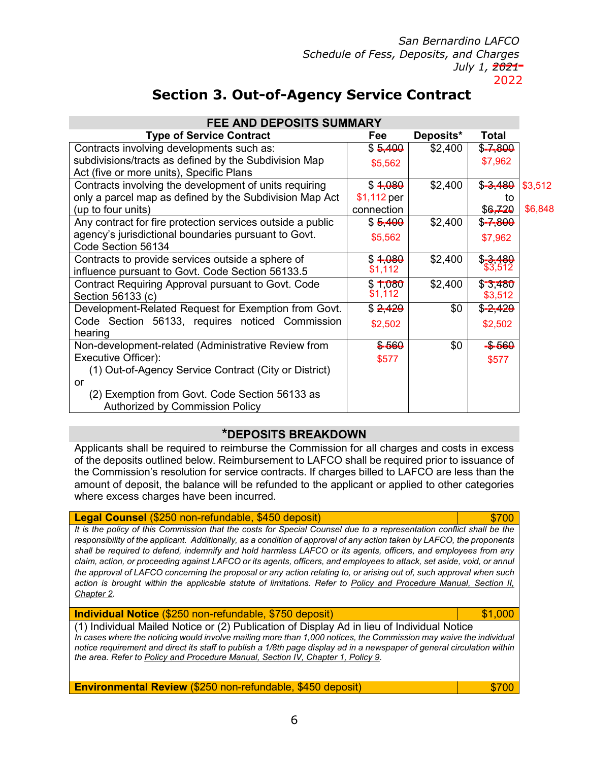# **Section 3. Out-of-Agency Service Contract**

| <b>FEE AND DEPOSITS SUMMARY</b>                                          |                        |           |                       |         |
|--------------------------------------------------------------------------|------------------------|-----------|-----------------------|---------|
| <b>Type of Service Contract</b>                                          | Fee                    | Deposits* | Total                 |         |
| Contracts involving developments such as                                 | $-4-$                  | 24        |                       |         |
| su divisions tracts as defined $y$ the Su division $s_5$ ap <sub>2</sub> |                        |           | \$7,962               |         |
| Act five or more units Specific Plans                                    |                        |           |                       |         |
| Contracts involving the development of units                             |                        | 24        | $-3-4-$               | \$3,512 |
| only a parcel map as defined y the Su division\$1, ap pet                |                        |           | to                    |         |
| up to four units                                                         | connectio              |           |                       | \$6,848 |
| Any contract for fire protection services outsi                          | $-4-$                  | 24        |                       |         |
| agency surisdictional oundaries pursuant to                              | ovt <sub>\$5,562</sub> |           | \$7,962               |         |
| <b>Code Section</b><br>34                                                |                        |           |                       |         |
| Contracts to provide services outside a sphere                           |                        | 24        | $\frac{3.4}{\$3,512}$ |         |
| influence pursuant to ovt. Code Section                                  | \$1,112                |           |                       |         |
| Contract Re uiring Approxalant toovtCode                                 |                        | 24        | $-3 - 4 - -$          |         |
| <b>Section</b><br>33 c                                                   | \$1,112                |           | \$3,512               |         |
| evelopmeRelated Re uest for emption fro                                  | $242 -$                |           | $-242-$               |         |
| <b>Code Section</b><br>33 re uires<br>noticed Col                        | \$2,502                |           | \$2,502               |         |
| hearing                                                                  |                        |           |                       |         |
| ondevelopmentlated Administrative Revie<br>fr                            |                        |           |                       |         |
| ecutive Officer                                                          | \$577                  |           | \$577                 |         |
| <b>OutofAgeny Service Contract City or</b>                               | istrict                |           |                       |         |
| or                                                                       |                        |           |                       |         |
| emption from ovt. Code Section<br>$\mathbf{z}$                           | 33as                   |           |                       |         |
| Authori ed y Commission Policy                                           |                        |           |                       |         |

#### \*DEPOSITS BREAKDOWN

Applicants shall e re uired to reimConsent stion for all charges and costs i of the deposits outlined elo. Reim ursement to AFCO shall e re uired prior to issu the Commission s resolution for service contracts. f charges illed to AFCO are less t amount of deposit the alance ill e refunded to the applicant or applied to other ca here e cess charges have een incurred.

#### **Legal Counsel**  $2<sup>1</sup>$ nemefunda le **4deposit**

It is the policy of this Commission that the costs for Special Counsel due to a representation conflict shall be the responsibility of the applicant. Additionally, as a condition of approval of any action taken by LAFCO, the proponents shall be required to defend, indemnify and hold harmless LAFCO or its agents, officers, and employees from any claim, action, or proceeding against LAFCO or its agents, officers, and employees to attack, set aside, void, or annul the approval of LAFCO concerning the proposal or any action relating to, or arising out of, such approval when such action is brought within the applicable statute of limitations. Refer to Policy and Procedure Manual. Section II. Chapter 2.

Individual Notice (\$250 non refundable, \$750 deposit)

\$1,000

(1) Individual Mailed Notice or (2) Publication of Display Ad in lieu of Individual Notice In cases where the noticing would involve mailing more than 1,000 notices, the Commission may waive the individual notice requirement and direct its staff to publish a 1/8th page display ad in a newspaper of general circulation within the area. Refer to Policy and Procedure Manual, Section IV, Chapter 1, Policy 9.

**Environmental Review** (\$250 non refundable, \$450 deposit)

\$700